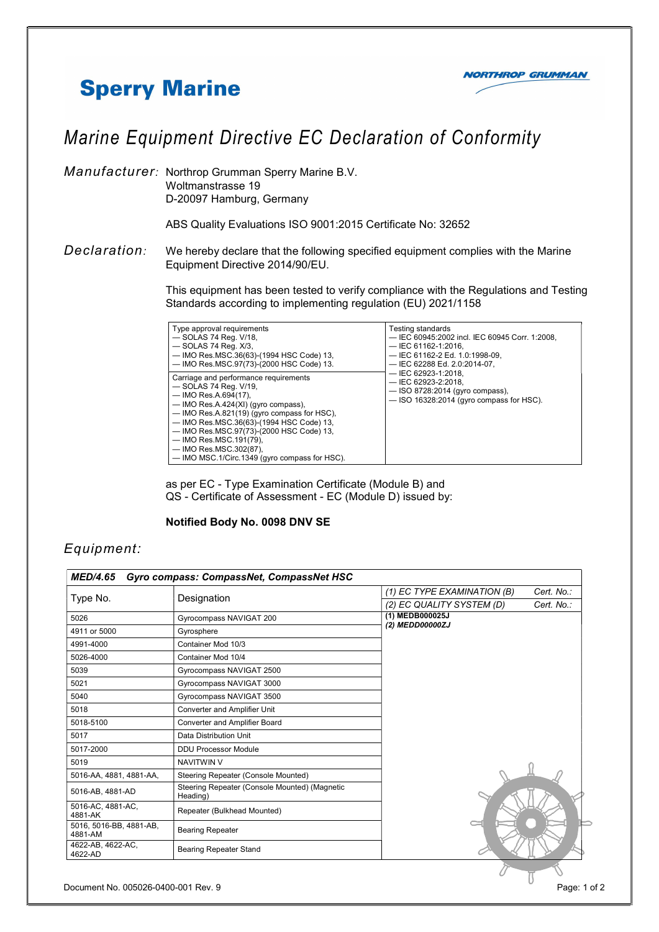## **Sperry Marine**



## Marine Equipment Directive EC Declaration of Conformity

Manufacturer: Northrop Grumman Sperry Marine B.V. Woltmanstrasse 19 D-20097 Hamburg, Germany

ABS Quality Evaluations ISO 9001:2015 Certificate No: 32652

Declaration: We hereby declare that the following specified equipment complies with the Marine Equipment Directive 2014/90/EU.

> This equipment has been tested to verify compliance with the Regulations and Testing Standards according to implementing regulation (EU) 2021/1158

| Type approval requirements<br>$-$ SOLAS 74 Req. $V/18$ ,<br>$-$ SOLAS 74 Req. $X/3$ ,<br>— IMO Res.MSC.36(63)-(1994 HSC Code) 13,<br>- IMO Res.MSC.97(73)-(2000 HSC Code) 13.                                                                                                                                                                                                        | <b>Testing standards</b><br>- IEC 60945:2002 incl. IEC 60945 Corr. 1:2008.<br>$-$ IEC 61162-1:2016.<br>- IEC 61162-2 Ed. 1.0:1998-09,<br>- IEC 62288 Ed. 2.0:2014-07. |
|--------------------------------------------------------------------------------------------------------------------------------------------------------------------------------------------------------------------------------------------------------------------------------------------------------------------------------------------------------------------------------------|-----------------------------------------------------------------------------------------------------------------------------------------------------------------------|
| Carriage and performance requirements<br>$-$ SOLAS 74 Req. $V/19$ .<br>$-$ IMO Res.A.694(17),<br>$-$ IMO Res.A.424(XI) (gyro compass),<br>$-$ IMO Res.A.821(19) (gyro compass for HSC),<br>- IMO Res.MSC.36(63)-(1994 HSC Code) 13,<br>- IMO Res.MSC.97(73)-(2000 HSC Code) 13,<br>— IMO Res.MSC.191(79),<br>— IMO Res.MSC.302(87),<br>- IMO MSC.1/Circ.1349 (gyro compass for HSC). | $-$ IEC 62923-1:2018.<br>$-$ IEC 62923-2:2018.<br>$-$ ISO 8728:2014 (gyro compass),<br>$-$ ISO 16328:2014 (gyro compass for HSC).                                     |

 as per EC - Type Examination Certificate (Module B) and QS - Certificate of Assessment - EC (Module D) issued by:

## Notified Body No. 0098 DNV SE

## Equipment:

| Gyro compass: CompassNet, CompassNet HSC<br><b>MED/4.65</b> |                                                           |                             |            |  |
|-------------------------------------------------------------|-----------------------------------------------------------|-----------------------------|------------|--|
| Type No.                                                    | Designation                                               | (1) EC TYPE EXAMINATION (B) | Cert. No.: |  |
|                                                             |                                                           | (2) EC QUALITY SYSTEM (D)   | Cert. No.: |  |
| 5026                                                        | Gyrocompass NAVIGAT 200                                   | (1) MEDB000025J             |            |  |
| 4911 or 5000                                                | Gyrosphere                                                | (2) MEDD00000ZJ             |            |  |
| 4991-4000                                                   | Container Mod 10/3                                        |                             |            |  |
| 5026-4000                                                   | Container Mod 10/4                                        |                             |            |  |
| 5039                                                        | Gyrocompass NAVIGAT 2500                                  |                             |            |  |
| 5021                                                        | Gyrocompass NAVIGAT 3000                                  |                             |            |  |
| 5040                                                        | Gyrocompass NAVIGAT 3500                                  |                             |            |  |
| 5018                                                        | Converter and Amplifier Unit                              |                             |            |  |
| 5018-5100                                                   | <b>Converter and Amplifier Board</b>                      |                             |            |  |
| 5017                                                        | Data Distribution Unit                                    |                             |            |  |
| 5017-2000                                                   | <b>DDU Processor Module</b>                               |                             |            |  |
| 5019                                                        | <b>NAVITWIN V</b>                                         |                             |            |  |
| 5016-AA, 4881, 4881-AA,                                     | Steering Repeater (Console Mounted)                       |                             |            |  |
| 5016-AB, 4881-AD                                            | Steering Repeater (Console Mounted) (Magnetic<br>Heading) |                             |            |  |
| 5016-AC, 4881-AC,<br>4881-AK                                | Repeater (Bulkhead Mounted)                               |                             |            |  |
| 5016, 5016-BB, 4881-AB,<br>4881-AM                          | <b>Bearing Repeater</b>                                   |                             |            |  |
| 4622-AB, 4622-AC,<br>4622-AD                                | <b>Bearing Repeater Stand</b>                             |                             |            |  |